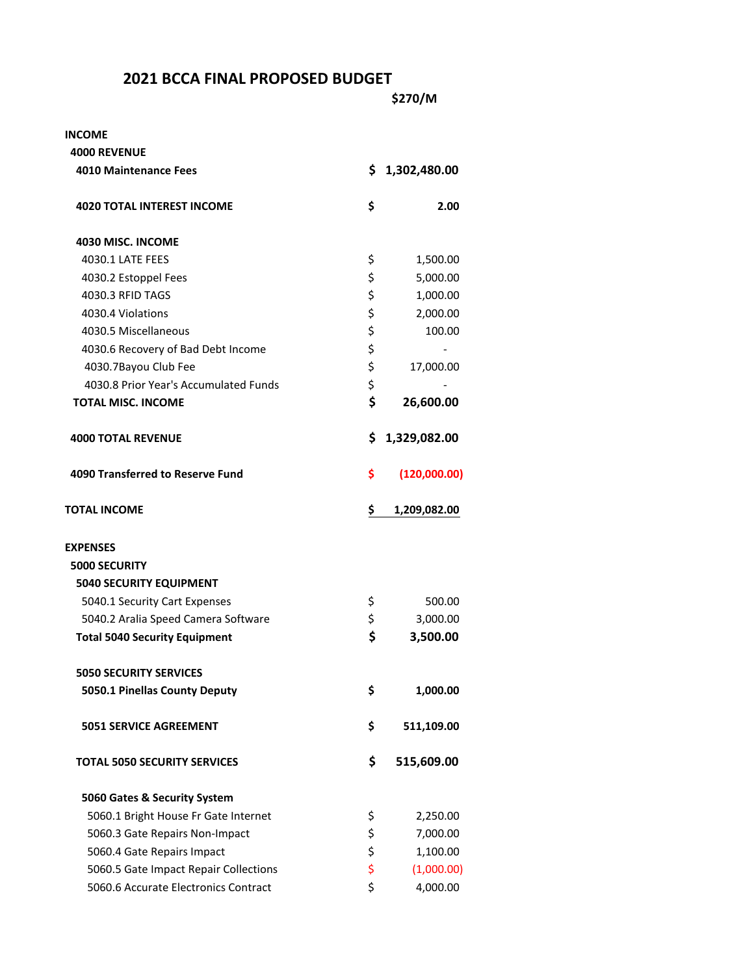## **2021 BCCA FINAL PROPOSED BUDGET**

| INCOME                                |                    |
|---------------------------------------|--------------------|
| <b>4000 REVENUE</b>                   |                    |
| <b>4010 Maintenance Fees</b>          | \$<br>1,302,480.00 |
| <b>4020 TOTAL INTEREST INCOME</b>     | \$<br>2.00         |
| 4030 MISC. INCOME                     |                    |
| 4030.1 LATE FEES                      | \$<br>1,500.00     |
| 4030.2 Estoppel Fees                  | \$<br>5,000.00     |
| 4030.3 RFID TAGS                      | \$<br>1,000.00     |
| 4030.4 Violations                     | \$<br>2,000.00     |
| 4030.5 Miscellaneous                  | \$<br>100.00       |
| 4030.6 Recovery of Bad Debt Income    | \$                 |
| 4030.7Bayou Club Fee                  | \$<br>17,000.00    |
| 4030.8 Prior Year's Accumulated Funds | \$                 |
| <b>TOTAL MISC. INCOME</b>             | \$<br>26,600.00    |
| <b>4000 TOTAL REVENUE</b>             | \$<br>1,329,082.00 |
| 4090 Transferred to Reserve Fund      | \$<br>(120,000.00) |
| <b>TOTAL INCOME</b>                   | \$<br>1,209,082.00 |
| <b>EXPENSES</b>                       |                    |
| <b>5000 SECURITY</b>                  |                    |
| <b>5040 SECURITY EQUIPMENT</b>        |                    |
| 5040.1 Security Cart Expenses         | \$<br>500.00       |
| 5040.2 Aralia Speed Camera Software   | \$<br>3,000.00     |
| <b>Total 5040 Security Equipment</b>  | \$<br>3,500.00     |
| <b>5050 SECURITY SERVICES</b>         |                    |
| 5050.1 Pinellas County Deputy         | \$<br>1,000.00     |
| <b>5051 SERVICE AGREEMENT</b>         | \$<br>511,109.00   |
| <b>TOTAL 5050 SECURITY SERVICES</b>   | \$<br>515,609.00   |
| 5060 Gates & Security System          |                    |
| 5060.1 Bright House Fr Gate Internet  | \$<br>2,250.00     |
| 5060.3 Gate Repairs Non-Impact        | \$<br>7,000.00     |
| 5060.4 Gate Repairs Impact            | \$<br>1,100.00     |
| 5060.5 Gate Impact Repair Collections | \$<br>(1,000.00)   |
| 5060.6 Accurate Electronics Contract  | \$<br>4,000.00     |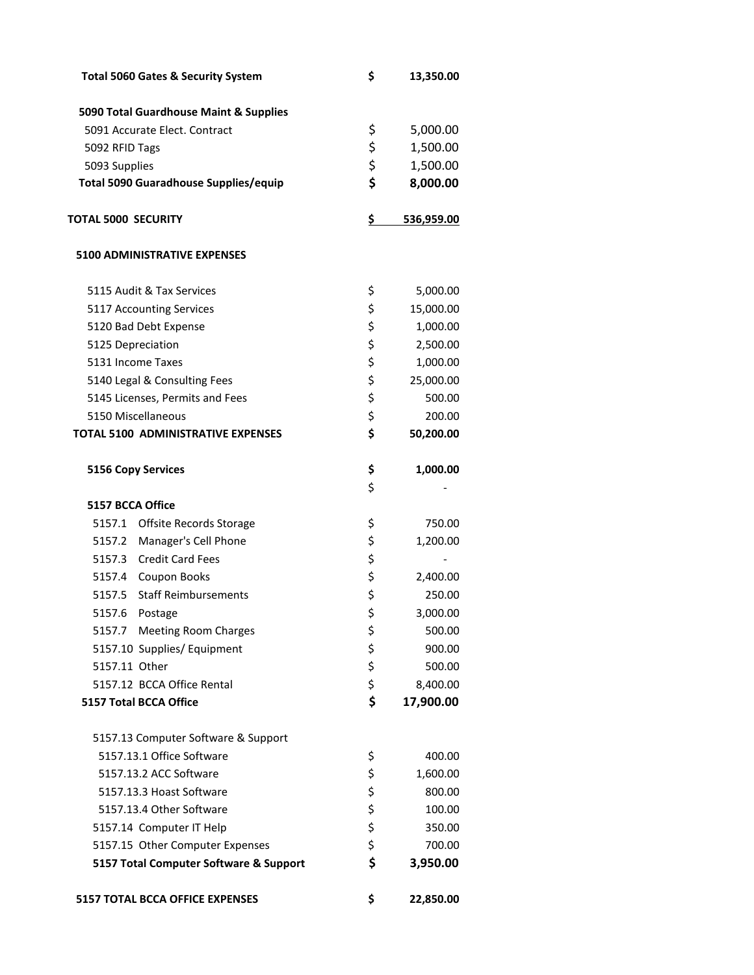| <b>Total 5060 Gates &amp; Security System</b> | \$       | 13,350.00  |
|-----------------------------------------------|----------|------------|
| 5090 Total Guardhouse Maint & Supplies        |          |            |
| 5091 Accurate Elect. Contract                 | \$       | 5,000.00   |
| 5092 RFID Tags                                | \$       | 1,500.00   |
| 5093 Supplies                                 | \$       | 1,500.00   |
| <b>Total 5090 Guaradhouse Supplies/equip</b>  | \$       | 8,000.00   |
| <b>TOTAL 5000 SECURITY</b>                    | \$       | 536,959.00 |
| <b>5100 ADMINISTRATIVE EXPENSES</b>           |          |            |
| 5115 Audit & Tax Services                     | \$       | 5,000.00   |
| 5117 Accounting Services                      | \$       | 15,000.00  |
| 5120 Bad Debt Expense                         | \$       | 1,000.00   |
| 5125 Depreciation                             | \$       | 2,500.00   |
| 5131 Income Taxes                             | \$       | 1,000.00   |
| 5140 Legal & Consulting Fees                  | \$       | 25,000.00  |
| 5145 Licenses, Permits and Fees               | \$       | 500.00     |
| 5150 Miscellaneous                            | \$       | 200.00     |
| <b>TOTAL 5100 ADMINISTRATIVE EXPENSES</b>     | \$       | 50,200.00  |
| <b>5156 Copy Services</b>                     | \$<br>\$ | 1,000.00   |
| 5157 BCCA Office                              |          |            |
| 5157.1 Offsite Records Storage                | \$       | 750.00     |
| 5157.2 Manager's Cell Phone                   | \$       | 1,200.00   |
| 5157.3 Credit Card Fees                       | \$       |            |
| 5157.4 Coupon Books                           | \$<br>\$ | 2,400.00   |
| 5157.5<br><b>Staff Reimbursements</b>         |          | 250.00     |
| 5157.6<br>Postage                             | \$       | 3,000.00   |
| 5157.7 Meeting Room Charges                   | \$       | 500.00     |
| 5157.10 Supplies/ Equipment                   | \$       | 900.00     |
| 5157.11 Other                                 | \$       | 500.00     |
| 5157.12 BCCA Office Rental                    | \$       | 8,400.00   |
| <b>5157 Total BCCA Office</b>                 | \$       | 17,900.00  |
| 5157.13 Computer Software & Support           |          |            |
| 5157.13.1 Office Software                     | \$       | 400.00     |
| 5157.13.2 ACC Software                        | \$       | 1,600.00   |
| 5157.13.3 Hoast Software                      | \$       | 800.00     |
| 5157.13.4 Other Software                      | \$       | 100.00     |
| 5157.14 Computer IT Help                      | \$       | 350.00     |
| 5157.15 Other Computer Expenses               | \$       | 700.00     |
| 5157 Total Computer Software & Support        | \$       | 3,950.00   |
| <b>5157 TOTAL BCCA OFFICE EXPENSES</b>        | \$       | 22,850.00  |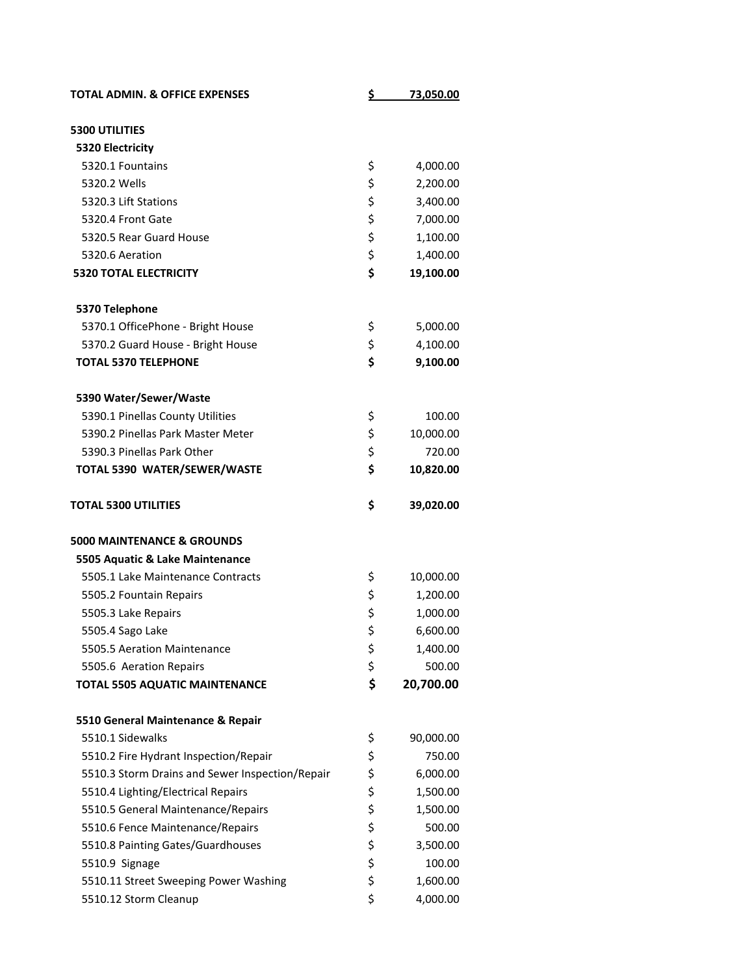| <b>TOTAL ADMIN. &amp; OFFICE EXPENSES</b>       | \$<br>73,050.00 |
|-------------------------------------------------|-----------------|
| <b>5300 UTILITIES</b>                           |                 |
| 5320 Electricity                                |                 |
| 5320.1 Fountains                                | \$<br>4,000.00  |
| 5320.2 Wells                                    | \$<br>2,200.00  |
| 5320.3 Lift Stations                            | \$<br>3,400.00  |
| 5320.4 Front Gate                               | \$<br>7,000.00  |
| 5320.5 Rear Guard House                         | \$<br>1,100.00  |
| 5320.6 Aeration                                 | \$<br>1,400.00  |
| <b>5320 TOTAL ELECTRICITY</b>                   | \$<br>19,100.00 |
|                                                 |                 |
| 5370 Telephone                                  |                 |
| 5370.1 OfficePhone - Bright House               | \$<br>5,000.00  |
| 5370.2 Guard House - Bright House               | \$<br>4,100.00  |
| <b>TOTAL 5370 TELEPHONE</b>                     | \$<br>9,100.00  |
|                                                 |                 |
| 5390 Water/Sewer/Waste                          |                 |
| 5390.1 Pinellas County Utilities                | \$<br>100.00    |
| 5390.2 Pinellas Park Master Meter               | \$<br>10,000.00 |
| 5390.3 Pinellas Park Other                      | \$<br>720.00    |
| TOTAL 5390 WATER/SEWER/WASTE                    | \$<br>10,820.00 |
| <b>TOTAL 5300 UTILITIES</b>                     | \$<br>39,020.00 |
| <b>5000 MAINTENANCE &amp; GROUNDS</b>           |                 |
| 5505 Aquatic & Lake Maintenance                 |                 |
| 5505.1 Lake Maintenance Contracts               | \$<br>10,000.00 |
| 5505.2 Fountain Repairs                         | \$<br>1,200.00  |
| 5505.3 Lake Repairs                             | \$<br>1,000.00  |
| 5505.4 Sago Lake                                | \$<br>6,600.00  |
| 5505.5 Aeration Maintenance                     | \$<br>1,400.00  |
| 5505.6 Aeration Repairs                         | \$<br>500.00    |
| <b>TOTAL 5505 AQUATIC MAINTENANCE</b>           | \$<br>20,700.00 |
|                                                 |                 |
| 5510 General Maintenance & Repair               |                 |
| 5510.1 Sidewalks                                | \$<br>90,000.00 |
| 5510.2 Fire Hydrant Inspection/Repair           | \$<br>750.00    |
| 5510.3 Storm Drains and Sewer Inspection/Repair | \$<br>6,000.00  |
| 5510.4 Lighting/Electrical Repairs              | \$<br>1,500.00  |
| 5510.5 General Maintenance/Repairs              | \$<br>1,500.00  |
| 5510.6 Fence Maintenance/Repairs                | \$<br>500.00    |
| 5510.8 Painting Gates/Guardhouses               | \$<br>3,500.00  |
| 5510.9 Signage                                  | \$<br>100.00    |
| 5510.11 Street Sweeping Power Washing           | \$<br>1,600.00  |
| 5510.12 Storm Cleanup                           | \$<br>4,000.00  |
|                                                 |                 |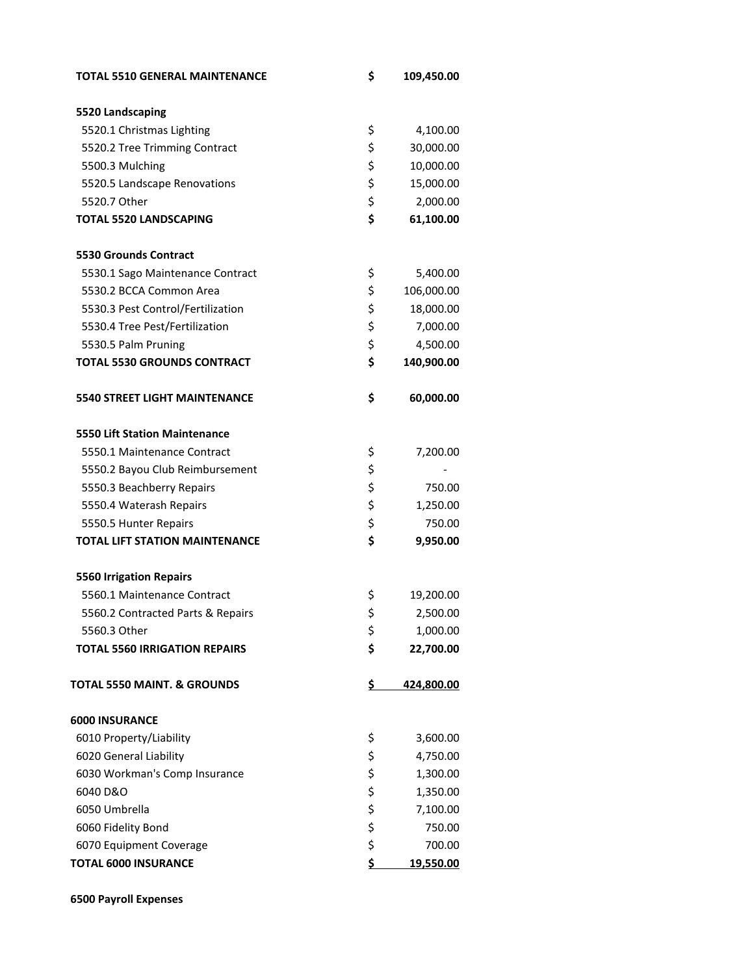| <b>TOTAL 5510 GENERAL MAINTENANCE</b>  | \$<br>109,450.00 |
|----------------------------------------|------------------|
| 5520 Landscaping                       |                  |
| 5520.1 Christmas Lighting              | \$<br>4,100.00   |
| 5520.2 Tree Trimming Contract          | \$<br>30,000.00  |
| 5500.3 Mulching                        | \$<br>10,000.00  |
| 5520.5 Landscape Renovations           | \$<br>15,000.00  |
| 5520.7 Other                           | \$<br>2,000.00   |
| <b>TOTAL 5520 LANDSCAPING</b>          | \$<br>61,100.00  |
| <b>5530 Grounds Contract</b>           |                  |
| 5530.1 Sago Maintenance Contract       | \$<br>5,400.00   |
| 5530.2 BCCA Common Area                | \$<br>106,000.00 |
| 5530.3 Pest Control/Fertilization      | \$<br>18,000.00  |
| 5530.4 Tree Pest/Fertilization         | \$<br>7,000.00   |
| 5530.5 Palm Pruning                    | \$<br>4,500.00   |
| <b>TOTAL 5530 GROUNDS CONTRACT</b>     | \$<br>140,900.00 |
| 5540 STREET LIGHT MAINTENANCE          | \$<br>60,000.00  |
| <b>5550 Lift Station Maintenance</b>   |                  |
| 5550.1 Maintenance Contract            | \$<br>7,200.00   |
| 5550.2 Bayou Club Reimbursement        | \$               |
| 5550.3 Beachberry Repairs              | \$<br>750.00     |
| 5550.4 Waterash Repairs                | \$<br>1,250.00   |
| 5550.5 Hunter Repairs                  | \$<br>750.00     |
| <b>TOTAL LIFT STATION MAINTENANCE</b>  | \$<br>9,950.00   |
| <b>5560 Irrigation Repairs</b>         |                  |
| 5560.1 Maintenance Contract            | \$<br>19,200.00  |
| 5560.2 Contracted Parts & Repairs      | \$<br>2,500.00   |
| 5560.3 Other                           | \$<br>1,000.00   |
| <b>TOTAL 5560 IRRIGATION REPAIRS</b>   | \$<br>22,700.00  |
| <b>TOTAL 5550 MAINT. &amp; GROUNDS</b> | \$<br>424,800.00 |
| <b>6000 INSURANCE</b>                  |                  |
| 6010 Property/Liability                | \$<br>3,600.00   |
| 6020 General Liability                 | \$<br>4,750.00   |
| 6030 Workman's Comp Insurance          | \$<br>1,300.00   |
| 6040 D&O                               | \$<br>1,350.00   |
| 6050 Umbrella                          | \$<br>7,100.00   |
| 6060 Fidelity Bond                     | \$<br>750.00     |
| 6070 Equipment Coverage                | \$<br>700.00     |
| <b>TOTAL 6000 INSURANCE</b>            | \$<br>19,550.00  |

 **6500 Payroll Expenses**